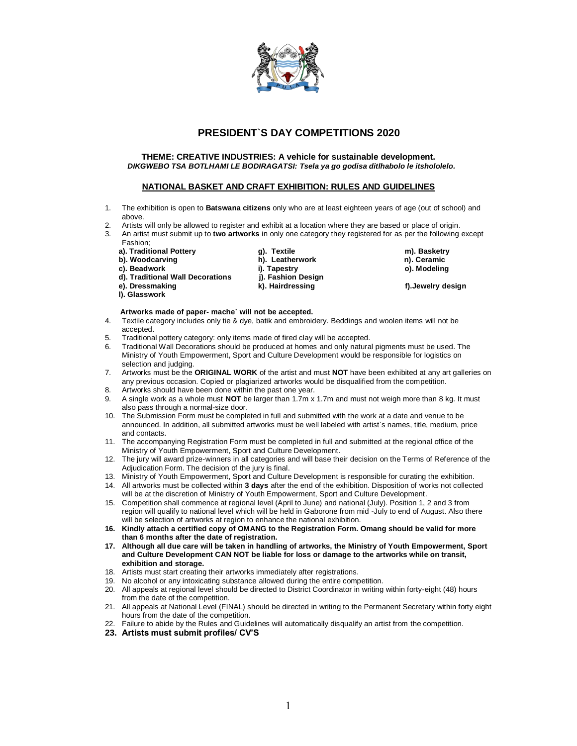

## **PRESIDENT`S DAY COMPETITIONS 2020**

#### **THEME: CREATIVE INDUSTRIES: A vehicle for sustainable development.** *DIKGWEBO TSA BOTLHAMI LE BODIRAGATSI: Tsela ya go godisa ditlhabolo le itshololelo.*

#### **NATIONAL BASKET AND CRAFT EXHIBITION: RULES AND GUIDELINES**

- 1. The exhibition is open to **Batswana citizens** only who are at least eighteen years of age (out of school) and above.
- 2. Artists will only be allowed to register and exhibit at a location where they are based or place of origin.
- 3. An artist must submit up to **two artworks** in only one category they registered for as per the following except Fashion;
	-
	-
	-
	-
	-
	- **l). Glasswork**

**a). Traditional Pottery g). Textile m). Basketry b). Woodcarving his conduct with the h**). Leatherwork c). Beadwork c). **Beadwork i). Tapestry only in the incremental of the i**ncore of the incrementation of the incrementation of the incremen<br>**i**). Fashion Design **d). Traditional Wall Decorations (i). Fashion Design in All Decorations** (i). The Design **Property** Container and Container and Container and Container and Container and Container and Container and Container and Container

f). Jewelry design

#### **Artworks made of paper- mache` will not be accepted.**

- 4. Textile category includes only tie & dye, batik and embroidery. Beddings and woolen items will not be accepted.
- 
- 5. Traditional pottery category: only items made of fired clay will be accepted. Traditional Wall Decorations should be produced at homes and only natural pigments must be used. The Ministry of Youth Empowerment, Sport and Culture Development would be responsible for logistics on selection and judging.
- 7. Artworks must be the **ORIGINAL WORK** of the artist and must **NOT** have been exhibited at any art galleries on any previous occasion. Copied or plagiarized artworks would be disqualified from the competition.
- 8. Artworks should have been done within the past one year.
- 9. A single work as a whole must **NOT** be larger than 1.7m x 1.7m and must not weigh more than 8 kg. It must also pass through a normal-size door.
- 10. The Submission Form must be completed in full and submitted with the work at a date and venue to be announced. In addition, all submitted artworks must be well labeled with artist`s names, title, medium, price and contacts.
- 11. The accompanying Registration Form must be completed in full and submitted at the regional office of the Ministry of Youth Empowerment, Sport and Culture Development.
- 12. The jury will award prize-winners in all categories and will base their decision on the Terms of Reference of the Adjudication Form. The decision of the jury is final.
- 13. Ministry of Youth Empowerment, Sport and Culture Development is responsible for curating the exhibition.
- 14. All artworks must be collected within **3 days** after the end of the exhibition. Disposition of works not collected will be at the discretion of Ministry of Youth Empowerment, Sport and Culture Development.
- 15. Competition shall commence at regional level (April to June) and national (July). Position 1, 2 and 3 from region will qualify to national level which will be held in Gaborone from mid -July to end of August. Also there will be selection of artworks at region to enhance the national exhibition.
- **16. Kindly attach a certified copy of OMANG to the Registration Form. Omang should be valid for more than 6 months after the date of registration.**
- **17. Although all due care will be taken in handling of artworks, the Ministry of Youth Empowerment, Sport and Culture Development CAN NOT be liable for loss or damage to the artworks while on transit, exhibition and storage.**
- 18. Artists must start creating their artworks immediately after registrations.
- 19. No alcohol or any intoxicating substance allowed during the entire competition.
- 20. All appeals at regional level should be directed to District Coordinator in writing within forty-eight (48) hours from the date of the competition.
- 21. All appeals at National Level (FINAL) should be directed in writing to the Permanent Secretary within forty eight hours from the date of the competition.
- 22. Failure to abide by the Rules and Guidelines will automatically disqualify an artist from the competition.
- **23. Artists must submit profiles/ CV'S**

1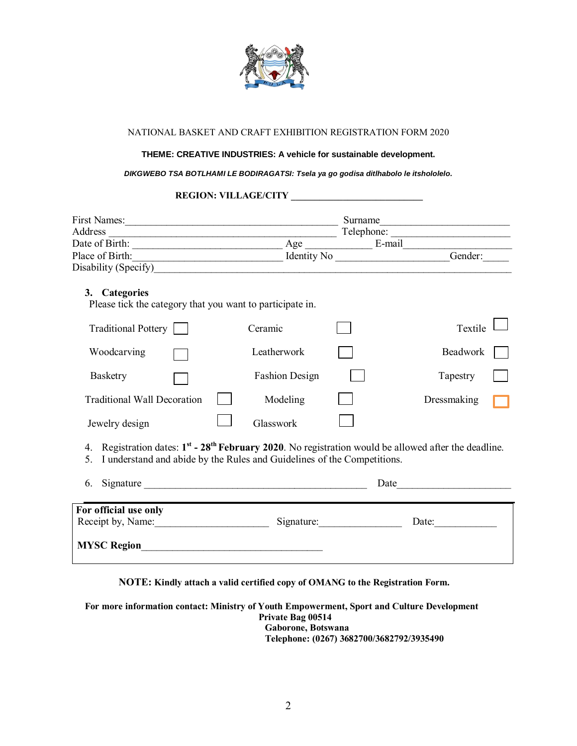

#### NATIONAL BASKET AND CRAFT EXHIBITION REGISTRATION FORM 2020

#### **THEME: CREATIVE INDUSTRIES: A vehicle for sustainable development.**

#### *DIKGWEBO TSA BOTLHAMI LE BODIRAGATSI: Tsela ya go godisa ditlhabolo le itshololelo.*

### **REGION: VILLAGE/CITY \_\_\_\_\_\_\_\_\_\_\_\_\_\_\_\_\_\_\_\_\_\_\_\_\_\_\_\_**

| First Names: 1988.                                                                                                                                                                                      |                                                                                                                      | Surname    | <u> 1989 - Johann Barbara, martxa alemaniar a</u> |  |  |  |  |  |  |  |
|---------------------------------------------------------------------------------------------------------------------------------------------------------------------------------------------------------|----------------------------------------------------------------------------------------------------------------------|------------|---------------------------------------------------|--|--|--|--|--|--|--|
|                                                                                                                                                                                                         |                                                                                                                      |            |                                                   |  |  |  |  |  |  |  |
|                                                                                                                                                                                                         |                                                                                                                      |            |                                                   |  |  |  |  |  |  |  |
| Place of Birth: Gender: Gender: Gender:                                                                                                                                                                 |                                                                                                                      |            |                                                   |  |  |  |  |  |  |  |
|                                                                                                                                                                                                         |                                                                                                                      |            |                                                   |  |  |  |  |  |  |  |
| 3. Categories<br>Please tick the category that you want to participate in.                                                                                                                              |                                                                                                                      |            |                                                   |  |  |  |  |  |  |  |
| Traditional Pottery                                                                                                                                                                                     | Ceramic                                                                                                              |            | Textile                                           |  |  |  |  |  |  |  |
| Woodcarving                                                                                                                                                                                             | Leatherwork                                                                                                          |            | Beadwork                                          |  |  |  |  |  |  |  |
| Basketry                                                                                                                                                                                                | <b>Fashion Design</b>                                                                                                |            | Tapestry                                          |  |  |  |  |  |  |  |
| <b>Traditional Wall Decoration</b>                                                                                                                                                                      | Modeling                                                                                                             |            | Dressmaking                                       |  |  |  |  |  |  |  |
| Jewelry design                                                                                                                                                                                          | Glasswork                                                                                                            |            |                                                   |  |  |  |  |  |  |  |
| 4. Registration dates: $1^{st}$ - 28 <sup>th</sup> February 2020. No registration would be allowed after the deadline.<br>I understand and abide by the Rules and Guidelines of the Competitions.<br>5. |                                                                                                                      |            |                                                   |  |  |  |  |  |  |  |
| 6.                                                                                                                                                                                                      |                                                                                                                      | Date       | <u> 1980 - Jan Barbara Barbara, masa ka</u>       |  |  |  |  |  |  |  |
| For official use only                                                                                                                                                                                   |                                                                                                                      |            |                                                   |  |  |  |  |  |  |  |
| Receipt by, Name:                                                                                                                                                                                       |                                                                                                                      | Signature: | Date:                                             |  |  |  |  |  |  |  |
| <b>MYSC Region</b>                                                                                                                                                                                      | <u> 1989 - Johann Stein, meil in der Stein Stein und der Stein und der Stein und der Stein und der Stein und der</u> |            |                                                   |  |  |  |  |  |  |  |

**NOTE: Kindly attach a valid certified copy of OMANG to the Registration Form.** 

**For more information contact: Ministry of Youth Empowerment, Sport and Culture Development Private Bag 00514 Gaborone, Botswana Telephone: (0267) 3682700/3682792/3935490**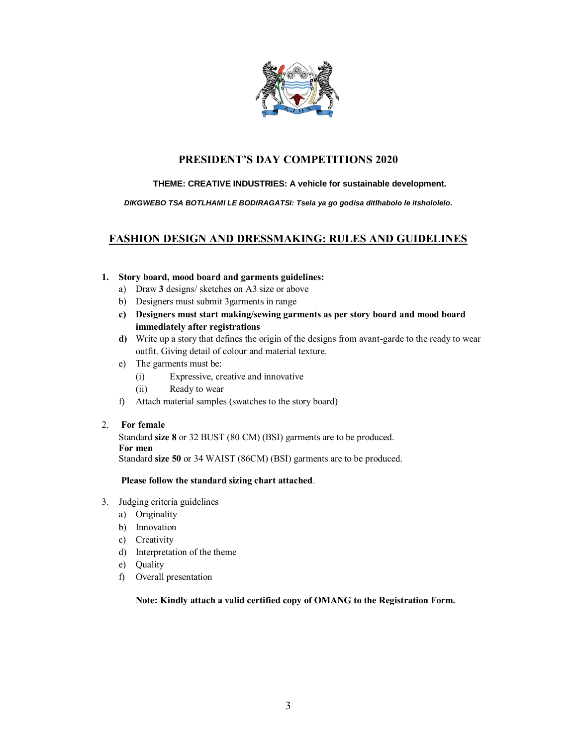

## **PRESIDENT'S DAY COMPETITIONS 2020**

### **THEME: CREATIVE INDUSTRIES: A vehicle for sustainable development.**

#### *DIKGWEBO TSA BOTLHAMI LE BODIRAGATSI: Tsela ya go godisa ditlhabolo le itshololelo.*

# **FASHION DESIGN AND DRESSMAKING: RULES AND GUIDELINES**

#### **1. Story board, mood board and garments guidelines:**

- a) Draw **3** designs/ sketches on A3 size or above
- b) Designers must submit 3garments in range
- **c) Designers must start making/sewing garments as per story board and mood board immediately after registrations**
- **d)** Write up a story that defines the origin of the designs from avant-garde to the ready to wear outfit. Giving detail of colour and material texture.
- e) The garments must be:
	- (i) Expressive, creative and innovative
	- (ii) Ready to wear
- f) Attach material samples (swatches to the story board)
- 2. **For female**

Standard **size 8** or 32 BUST (80 CM) (BSI) garments are to be produced. **For men**

Standard **size 50** or 34 WAIST (86CM) (BSI) garments are to be produced.

#### **Please follow the standard sizing chart attached**.

- 3. Judging criteria guidelines
	- a) Originality
	- b) Innovation
	- c) Creativity
	- d) Interpretation of the theme
	- e) Quality
	- f) Overall presentation

**Note: Kindly attach a valid certified copy of OMANG to the Registration Form.**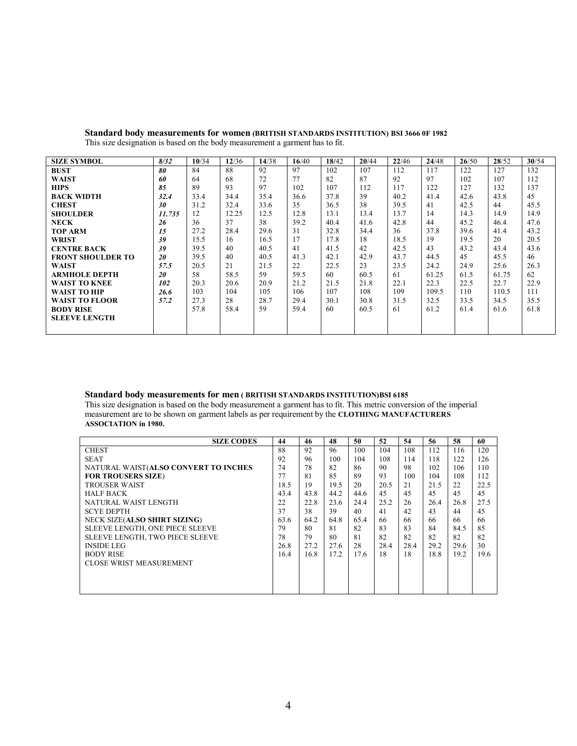| <b>SIZE SYMBOL</b>       | 8/32   | 10/34 | 12/36 | 14/38 | 16/40 | 18/42 | 20/44 | 22/46 | 24/48 | 26/50 | 28/52 | 30/54 |
|--------------------------|--------|-------|-------|-------|-------|-------|-------|-------|-------|-------|-------|-------|
| <b>BUST</b>              | 80     | 84    | 88    | 92    | 97    | 102   | 107   | 112   | 117   | 122   | 127   | 132   |
| <b>WAIST</b>             | 60     | 64    | 68    | 72    | 77    | 82    | 87    | 92    | 97    | 102   | 107   | 112   |
| <b>HIPS</b>              | 85     | 89    | 93    | 97    | 102   | 107   | 112   | 117   | 122   | 127   | 132   | 137   |
| <b>BACK WIDTH</b>        | 32.4   | 33.4  | 34.4  | 35.4  | 36.6  | 37.8  | 39    | 40.2  | 41.4  | 42.6  | 43.8  | 45    |
| <b>CHEST</b>             | 30     | 31.2  | 32.4  | 33.6  | 35    | 36.5  | 38    | 39.5  | 41    | 42.5  | 44    | 45.5  |
| <b>SHOULDER</b>          | 11.735 | 12    | 12.25 | 12.5  | 12.8  | 13.1  | 13.4  | 13.7  | 14    | 14.3  | 14.9  | 14.9  |
| <b>NECK</b>              | 26     | 36    | 37    | 38    | 39.2  | 40.4  | 41.6  | 42.8  | 44    | 45.2  | 46.4  | 47.6  |
| <b>TOP ARM</b>           | 15     | 27.2  | 28.4  | 29.6  | 31    | 32.8  | 34.4  | 36    | 37.8  | 39.6  | 41.4  | 43.2  |
| WRIST                    | 39     | 15.5  | 16    | 16.5  | 17    | 17.8  | 18    | 18.5  | 19    | 19.5  | 20    | 20.5  |
| <b>CENTRE BACK</b>       | 39     | 39.5  | 40    | 40.5  | 41    | 41.5  | 42    | 42.5  | 43    | 43.2  | 43.4  | 43.6  |
| <b>FRONT SHOULDER TO</b> | 20     | 39.5  | 40    | 40.5  | 41.3  | 42.1  | 42.9  | 43.7  | 44.5  | 45    | 45.5  | 46    |
| WAIST                    | 57.5   | 20.5  | 21    | 21.5  | 22    | 22.5  | 23    | 23.5  | 24.2  | 24.9  | 25.6  | 26.3  |
| <b>ARMHOLE DEPTH</b>     | 20     | 58    | 58.5  | 59    | 59.5  | 60    | 60.5  | 61    | 61.25 | 61.5  | 61.75 | 62    |
| <b>WAIST TO KNEE</b>     | 102    | 20.3  | 20.6  | 20.9  | 21.2  | 21.5  | 21.8  | 22.1  | 22.3  | 22.5  | 22.7  | 22.9  |
| WAIST TO HIP             | 26.6   | 103   | 104   | 105   | 106   | 107   | 108   | 109   | 109.5 | 110   | 110.5 | 111   |
| <b>WAIST TO FLOOR</b>    | 57.2   | 27.3  | 28    | 28.7  | 29.4  | 30.1  | 30.8  | 31.5  | 32.5  | 33.5  | 34.5  | 35.5  |
| <b>BODY RISE</b>         |        | 57.8  | 58.4  | 59    | 59.4  | 60    | 60.5  | 61    | 61.2  | 61.4  | 61.6  | 61.8  |
| <b>SLEEVE LENGTH</b>     |        |       |       |       |       |       |       |       |       |       |       |       |
|                          |        |       |       |       |       |       |       |       |       |       |       |       |

**Standard body measurements for women (BRITISH STANDARDS INSTITUTION) BSI 3666 0F 1982** This size designation is based on the body measurement a garment has to fit.

#### **Standard body measurements for men ( BRITISH STANDARDS INSTITUTION)BSI 6185**

This size designation is based on the body measurement a garment has to fit. This metric conversion of the imperial measurement are to be shown on garment labels as per requirement by the **CLOTHING MANUFACTURERS ASSOCIATION in 1980.**

| <b>SIZE CODES</b>                    | 44   | 46   | 48   | 50   | 52   | 54   | 56   | 58   | 60   |
|--------------------------------------|------|------|------|------|------|------|------|------|------|
| <b>CHEST</b>                         | 88   | 92   | 96   | 100  | 104  | 108  | 112  | 116  | 120  |
| <b>SEAT</b>                          | 92   | 96   | 100  | 104  | 108  | 114  | 118  | 122  | 126  |
| NATURAL WAIST(ALSO CONVERT TO INCHES | 74   | 78   | 82   | 86   | 90   | 98   | 102  | 106  | 110  |
| <b>FOR TROUSERS SIZE)</b>            | 77   | 81   | 85   | 89   | 93   | 100  | 104  | 108  | 112  |
| <b>TROUSER WAIST</b>                 | 18.5 | 19   | 19.5 | 20   | 20.5 | 2.1  | 21.5 | 22   | 22.5 |
| <b>HALF BACK</b>                     | 43.4 | 43.8 | 44.2 | 44.6 | 45   | 45   | 45   | 45   | 45   |
| NATURAL WAIST LENGTH                 | 22   | 22.8 | 23.6 | 24.4 | 25.2 | 26   | 26.4 | 26.8 | 27.5 |
| <b>SCYE DEPTH</b>                    | 37   | 38   | 39   | 40   | 41   | 42   | 43   | 44   | 45   |
| <b>NECK SIZE(ALSO SHIRT SIZING)</b>  | 63.6 | 64.2 | 64.8 | 65.4 | 66   | 66   | 66   | 66   | 66   |
| SLEEVE LENGTH, ONE PIECE SLEEVE      | 79   | 80   | 81   | 82   | 83   | 83   | 84   | 84.5 | 85   |
| SLEEVE LENGTH, TWO PIECE SLEEVE      | 78   | 79   | 80   | 81   | 82   | 82   | 82   | 82   | 82   |
| <b>INSIDE LEG</b>                    | 26.8 | 27.2 | 27.6 | 28   | 28.4 | 28.4 | 29.2 | 29.6 | 30   |
| <b>BODY RISE</b>                     | 16.4 | 16.8 | 17.2 | 17.6 | 18   | 18   | 18.8 | 19.2 | 19.6 |
| <b>CLOSE WRIST MEASUREMENT</b>       |      |      |      |      |      |      |      |      |      |
|                                      |      |      |      |      |      |      |      |      |      |
|                                      |      |      |      |      |      |      |      |      |      |
|                                      |      |      |      |      |      |      |      |      |      |